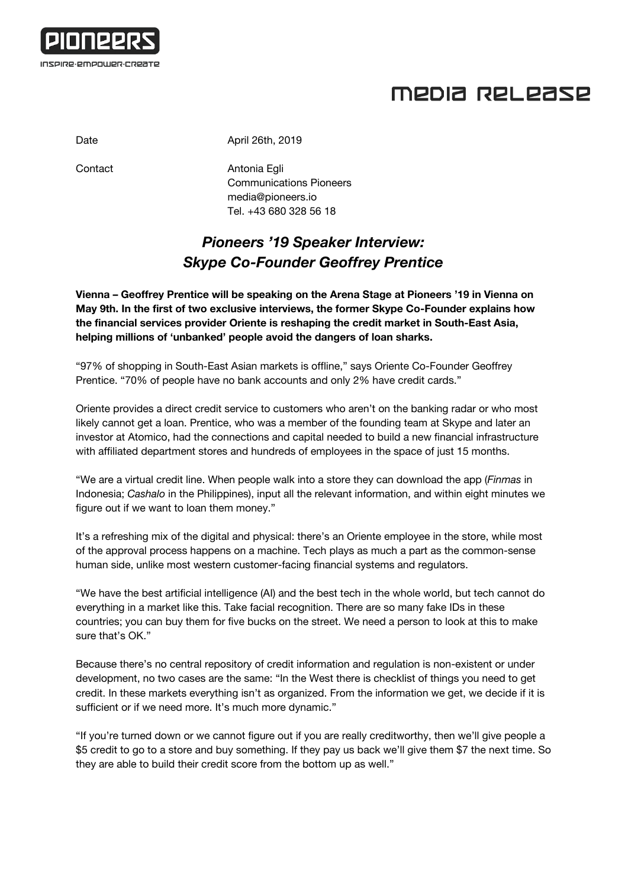

## MEDIA RELEASE

Date April 26th, 2019

Contact **Antonia Egli** Communications Pioneers [media@pioneers.io](mailto:media@pioneers.io) Tel. +43 680 328 56 18

## *Pioneers '19 Speaker Interview: Skype Co-Founder Geoffrey Prentice*

**Vienna – Geoffrey Prentice will be speaking on the Arena Stage at Pioneers '19 in Vienna on May 9th. In the first of two exclusive interviews, the former Skype Co-Founder explains how the financial services provider Oriente is reshaping the credit market in South-East Asia, helping millions of 'unbanked' people avoid the dangers of loan sharks.**

"97% of shopping in South-East Asian markets is offline," says Oriente Co-Founder Geoffrey Prentice. "70% of people have no bank accounts and only 2% have credit cards."

Oriente provides a direct credit service to customers who aren't on the banking radar or who most likely cannot get a loan. Prentice, who was a member of the founding team at Skype and later an investor at Atomico, had the connections and capital needed to build a new financial infrastructure with affiliated department stores and hundreds of employees in the space of just 15 months.

"We are a virtual credit line. When people walk into a store they can download the app (*Finmas* in Indonesia; *Cashalo* in the Philippines), input all the relevant information, and within eight minutes we figure out if we want to loan them money."

It's a refreshing mix of the digital and physical: there's an Oriente employee in the store, while most of the approval process happens on a machine. Tech plays as much a part as the common-sense human side, unlike most western customer-facing financial systems and regulators.

"We have the best artificial intelligence (AI) and the best tech in the whole world, but tech cannot do everything in a market like this. Take facial recognition. There are so many fake IDs in these countries; you can buy them for five bucks on the street. We need a person to look at this to make sure that's OK."

Because there's no central repository of credit information and regulation is non-existent or under development, no two cases are the same: "In the West there is checklist of things you need to get credit. In these markets everything isn't as organized. From the information we get, we decide if it is sufficient or if we need more. It's much more dynamic."

"If you're turned down or we cannot figure out if you are really creditworthy, then we'll give people a \$5 credit to go to a store and buy something. If they pay us back we'll give them \$7 the next time. So they are able to build their credit score from the bottom up as well."